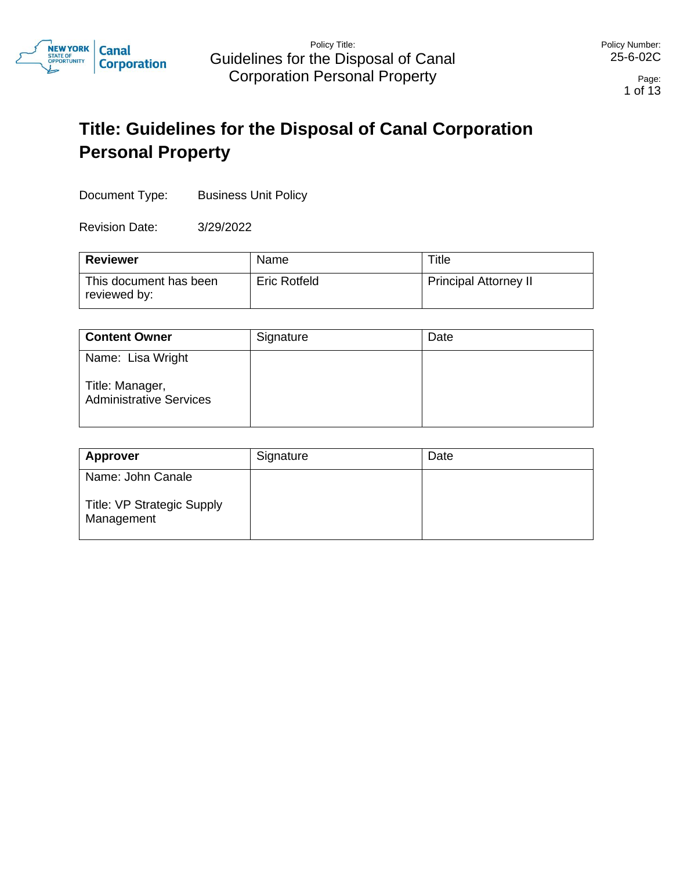

Policy Number: 25-6-02C

> Page: 1 of 13

# **Title: Guidelines for the Disposal of Canal Corporation Personal Property**

Document Type: Business Unit Policy

Revision Date: 3/29/2022

| <b>Reviewer</b>                        | Name                | Title                        |
|----------------------------------------|---------------------|------------------------------|
| This document has been<br>reviewed by: | <b>Eric Rotfeld</b> | <b>Principal Attorney II</b> |

| <b>Content Owner</b>                              | Signature | Date |
|---------------------------------------------------|-----------|------|
| Name: Lisa Wright                                 |           |      |
| Title: Manager,<br><b>Administrative Services</b> |           |      |

| <b>Approver</b>                                 | Signature | Date |
|-------------------------------------------------|-----------|------|
| Name: John Canale                               |           |      |
| <b>Title: VP Strategic Supply</b><br>Management |           |      |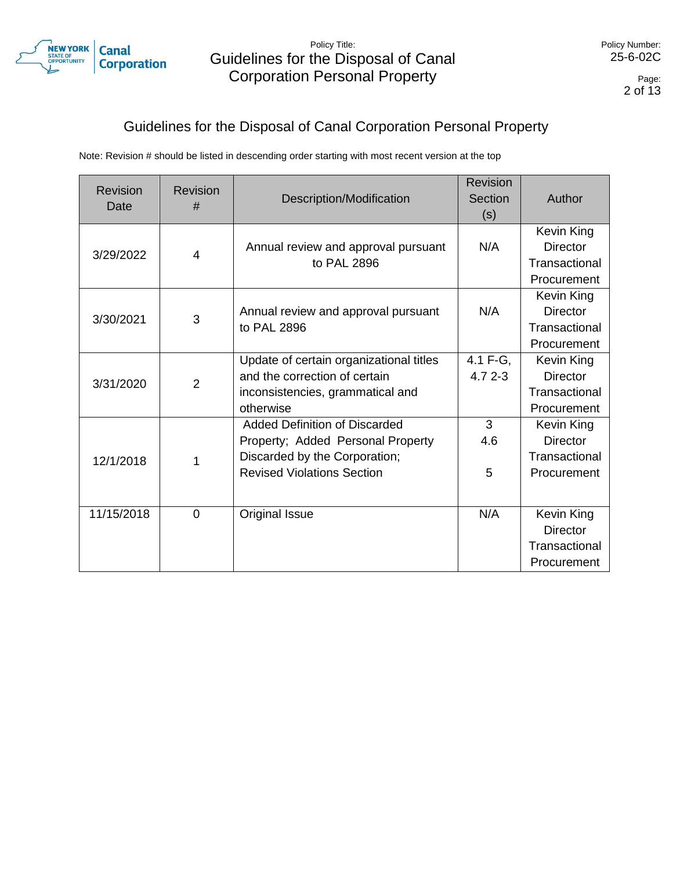

Page: 2 of 13

# Guidelines for the Disposal of Canal Corporation Personal Property

Note: Revision # should be listed in descending order starting with most recent version at the top

| <b>Revision</b><br>Date | <b>Revision</b><br># | Description/Modification                                                                                                                 | <b>Revision</b><br>Section<br>(s) | Author                                                        |
|-------------------------|----------------------|------------------------------------------------------------------------------------------------------------------------------------------|-----------------------------------|---------------------------------------------------------------|
| 3/29/2022               | $\overline{4}$       | Annual review and approval pursuant<br>to PAL 2896                                                                                       | N/A                               | Kevin King<br><b>Director</b><br>Transactional<br>Procurement |
| 3/30/2021               | 3                    | Annual review and approval pursuant<br>to PAL 2896                                                                                       | N/A                               | Kevin King<br><b>Director</b><br>Transactional<br>Procurement |
| 3/31/2020               | $\overline{2}$       | Update of certain organizational titles<br>and the correction of certain<br>inconsistencies, grammatical and<br>otherwise                | 4.1 $F-G$ ,<br>$4.72 - 3$         | Kevin King<br><b>Director</b><br>Transactional<br>Procurement |
| 12/1/2018               | 1                    | Added Definition of Discarded<br>Property; Added Personal Property<br>Discarded by the Corporation;<br><b>Revised Violations Section</b> | 3<br>4.6<br>5                     | Kevin King<br><b>Director</b><br>Transactional<br>Procurement |
| 11/15/2018              | $\overline{0}$       | Original Issue                                                                                                                           | N/A                               | Kevin King<br><b>Director</b><br>Transactional<br>Procurement |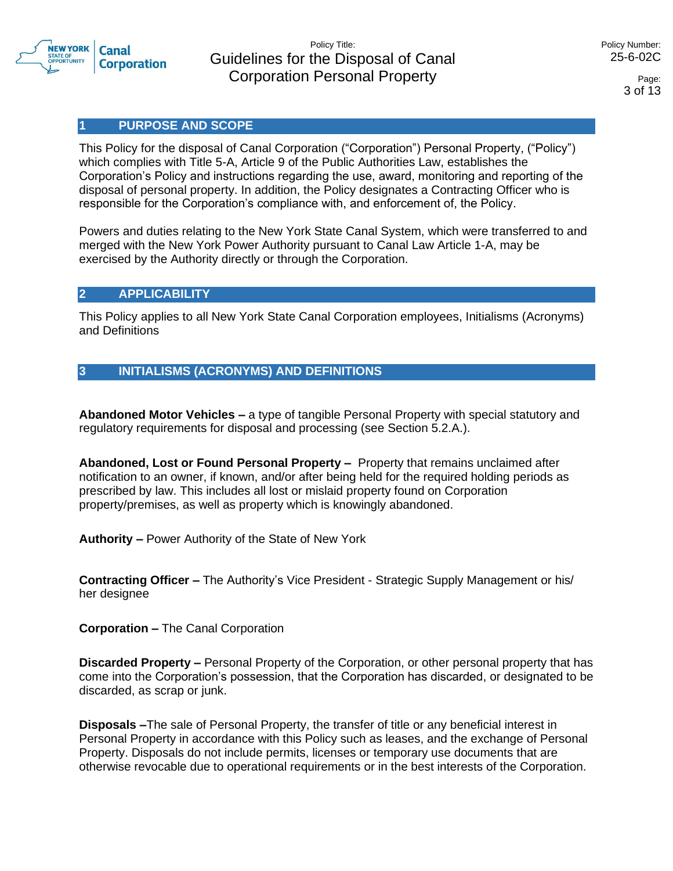

Policy Number: 25-6-02C

> Page: 3 of 13

#### **1 PURPOSE AND SCOPE**

This Policy for the disposal of Canal Corporation ("Corporation") Personal Property, ("Policy") which complies with Title 5-A, Article 9 of the Public Authorities Law, establishes the Corporation's Policy and instructions regarding the use, award, monitoring and reporting of the disposal of personal property. In addition, the Policy designates a Contracting Officer who is responsible for the Corporation's compliance with, and enforcement of, the Policy.

Powers and duties relating to the New York State Canal System, which were transferred to and merged with the New York Power Authority pursuant to Canal Law Article 1-A, may be exercised by the Authority directly or through the Corporation.

#### **2 APPLICABILITY**

This Policy applies to all New York State Canal Corporation employees, Initialisms (Acronyms) and Definitions

# **3 INITIALISMS (ACRONYMS) AND DEFINITIONS**

**Abandoned Motor Vehicles –** a type of tangible Personal Property with special statutory and regulatory requirements for disposal and processing (see Section 5.2.A.).

**Abandoned, Lost or Found Personal Property –** Property that remains unclaimed after notification to an owner, if known, and/or after being held for the required holding periods as prescribed by law. This includes all lost or mislaid property found on Corporation property/premises, as well as property which is knowingly abandoned.

**Authority –** Power Authority of the State of New York

**Contracting Officer –** The Authority's Vice President - Strategic Supply Management or his/ her designee

**Corporation –** The Canal Corporation

**Discarded Property –** Personal Property of the Corporation, or other personal property that has come into the Corporation's possession, that the Corporation has discarded, or designated to be discarded, as scrap or junk.

**Disposals –**The sale of Personal Property, the transfer of title or any beneficial interest in Personal Property in accordance with this Policy such as leases, and the exchange of Personal Property. Disposals do not include permits, licenses or temporary use documents that are otherwise revocable due to operational requirements or in the best interests of the Corporation.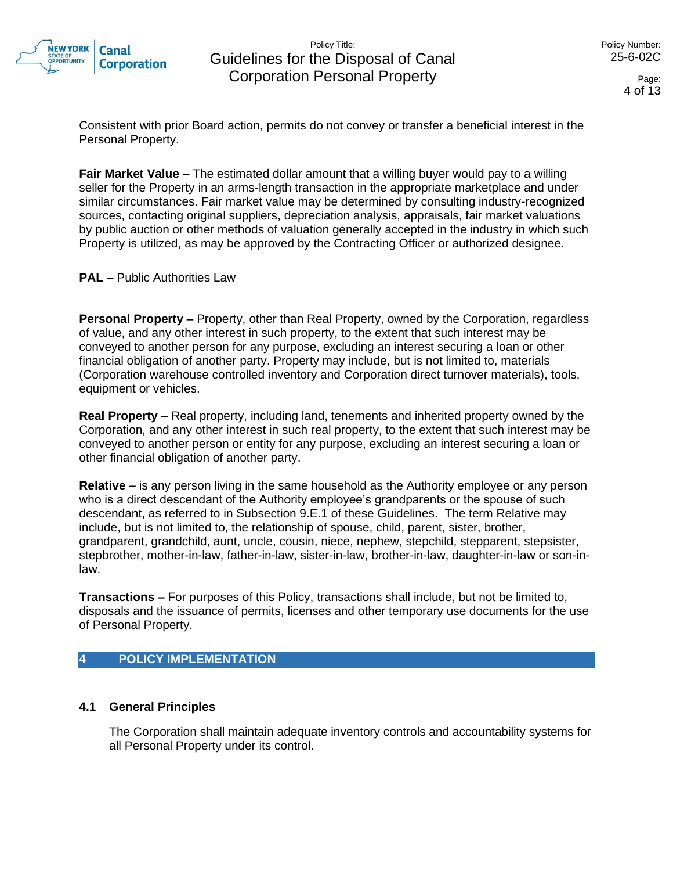

Page: 4 of 13

Consistent with prior Board action, permits do not convey or transfer a beneficial interest in the Personal Property.

**Fair Market Value –** The estimated dollar amount that a willing buyer would pay to a willing seller for the Property in an arms-length transaction in the appropriate marketplace and under similar circumstances. Fair market value may be determined by consulting industry-recognized sources, contacting original suppliers, depreciation analysis, appraisals, fair market valuations by public auction or other methods of valuation generally accepted in the industry in which such Property is utilized, as may be approved by the Contracting Officer or authorized designee.

**PAL –** Public Authorities Law

**Personal Property –** Property, other than Real Property, owned by the Corporation, regardless of value, and any other interest in such property, to the extent that such interest may be conveyed to another person for any purpose, excluding an interest securing a loan or other financial obligation of another party. Property may include, but is not limited to, materials (Corporation warehouse controlled inventory and Corporation direct turnover materials), tools, equipment or vehicles.

**Real Property –** Real property, including land, tenements and inherited property owned by the Corporation, and any other interest in such real property, to the extent that such interest may be conveyed to another person or entity for any purpose, excluding an interest securing a loan or other financial obligation of another party.

**Relative –** is any person living in the same household as the Authority employee or any person who is a direct descendant of the Authority employee's grandparents or the spouse of such descendant, as referred to in Subsection 9.E.1 of these Guidelines. The term Relative may include, but is not limited to, the relationship of spouse, child, parent, sister, brother, grandparent, grandchild, aunt, uncle, cousin, niece, nephew, stepchild, stepparent, stepsister, stepbrother, mother-in-law, father-in-law, sister-in-law, brother-in-law, daughter-in-law or son-inlaw.

**Transactions –** For purposes of this Policy, transactions shall include, but not be limited to, disposals and the issuance of permits, licenses and other temporary use documents for the use of Personal Property.

# **4 POLICY IMPLEMENTATION**

## **4.1 General Principles**

The Corporation shall maintain adequate inventory controls and accountability systems for all Personal Property under its control.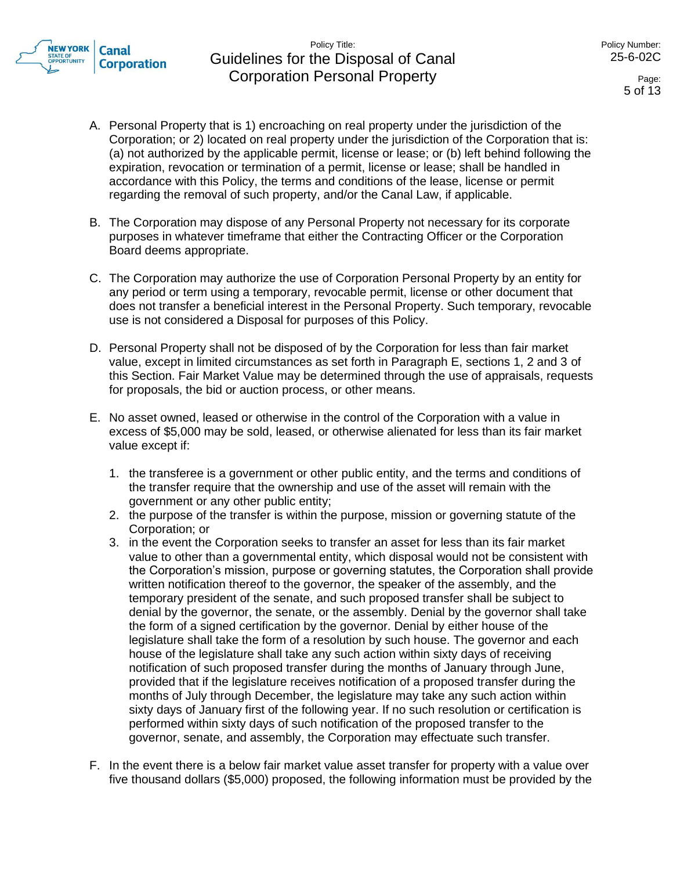

Policy Number: 25-6-02C

> Page: 5 of 13

- A. Personal Property that is 1) encroaching on real property under the jurisdiction of the Corporation; or 2) located on real property under the jurisdiction of the Corporation that is: (a) not authorized by the applicable permit, license or lease; or (b) left behind following the expiration, revocation or termination of a permit, license or lease; shall be handled in accordance with this Policy, the terms and conditions of the lease, license or permit regarding the removal of such property, and/or the Canal Law, if applicable.
- B. The Corporation may dispose of any Personal Property not necessary for its corporate purposes in whatever timeframe that either the Contracting Officer or the Corporation Board deems appropriate.
- C. The Corporation may authorize the use of Corporation Personal Property by an entity for any period or term using a temporary, revocable permit, license or other document that does not transfer a beneficial interest in the Personal Property. Such temporary, revocable use is not considered a Disposal for purposes of this Policy.
- D. Personal Property shall not be disposed of by the Corporation for less than fair market value, except in limited circumstances as set forth in Paragraph E, sections 1, 2 and 3 of this Section. Fair Market Value may be determined through the use of appraisals, requests for proposals, the bid or auction process, or other means.
- E. No asset owned, leased or otherwise in the control of the Corporation with a value in excess of \$5,000 may be sold, leased, or otherwise alienated for less than its fair market value except if:
	- 1. the transferee is a government or other public entity, and the terms and conditions of the transfer require that the ownership and use of the asset will remain with the government or any other public entity;
	- 2. the purpose of the transfer is within the purpose, mission or governing statute of the Corporation; or
	- 3. in the event the Corporation seeks to transfer an asset for less than its fair market value to other than a governmental entity, which disposal would not be consistent with the Corporation's mission, purpose or governing statutes, the Corporation shall provide written notification thereof to the governor, the speaker of the assembly, and the temporary president of the senate, and such proposed transfer shall be subject to denial by the governor, the senate, or the assembly. Denial by the governor shall take the form of a signed certification by the governor. Denial by either house of the legislature shall take the form of a resolution by such house. The governor and each house of the legislature shall take any such action within sixty days of receiving notification of such proposed transfer during the months of January through June, provided that if the legislature receives notification of a proposed transfer during the months of July through December, the legislature may take any such action within sixty days of January first of the following year. If no such resolution or certification is performed within sixty days of such notification of the proposed transfer to the governor, senate, and assembly, the Corporation may effectuate such transfer.
- F. In the event there is a below fair market value asset transfer for property with a value over five thousand dollars (\$5,000) proposed, the following information must be provided by the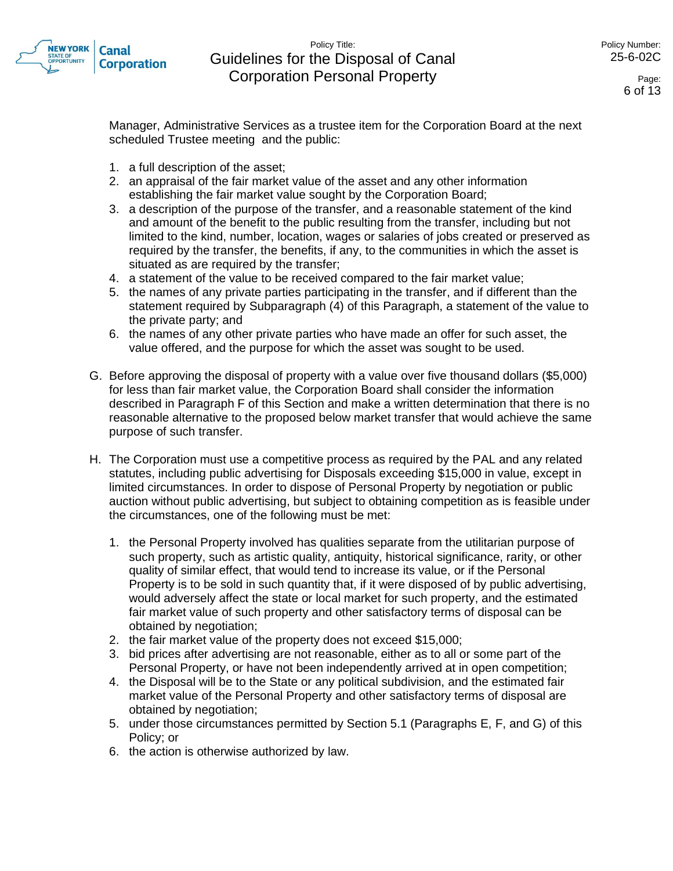

Page: 6 of 13

Manager, Administrative Services as a trustee item for the Corporation Board at the next scheduled Trustee meeting and the public:

- 1. a full description of the asset;
- 2. an appraisal of the fair market value of the asset and any other information establishing the fair market value sought by the Corporation Board;
- 3. a description of the purpose of the transfer, and a reasonable statement of the kind and amount of the benefit to the public resulting from the transfer, including but not limited to the kind, number, location, wages or salaries of jobs created or preserved as required by the transfer, the benefits, if any, to the communities in which the asset is situated as are required by the transfer;
- 4. a statement of the value to be received compared to the fair market value;
- 5. the names of any private parties participating in the transfer, and if different than the statement required by Subparagraph (4) of this Paragraph, a statement of the value to the private party; and
- 6. the names of any other private parties who have made an offer for such asset, the value offered, and the purpose for which the asset was sought to be used.
- G. Before approving the disposal of property with a value over five thousand dollars (\$5,000) for less than fair market value, the Corporation Board shall consider the information described in Paragraph F of this Section and make a written determination that there is no reasonable alternative to the proposed below market transfer that would achieve the same purpose of such transfer.
- H. The Corporation must use a competitive process as required by the PAL and any related statutes, including public advertising for Disposals exceeding \$15,000 in value, except in limited circumstances. In order to dispose of Personal Property by negotiation or public auction without public advertising, but subject to obtaining competition as is feasible under the circumstances, one of the following must be met:
	- 1. the Personal Property involved has qualities separate from the utilitarian purpose of such property, such as artistic quality, antiquity, historical significance, rarity, or other quality of similar effect, that would tend to increase its value, or if the Personal Property is to be sold in such quantity that, if it were disposed of by public advertising, would adversely affect the state or local market for such property, and the estimated fair market value of such property and other satisfactory terms of disposal can be obtained by negotiation;
	- 2. the fair market value of the property does not exceed \$15,000;
	- 3. bid prices after advertising are not reasonable, either as to all or some part of the Personal Property, or have not been independently arrived at in open competition;
	- 4. the Disposal will be to the State or any political subdivision, and the estimated fair market value of the Personal Property and other satisfactory terms of disposal are obtained by negotiation;
	- 5. under those circumstances permitted by Section 5.1 (Paragraphs E, F, and G) of this Policy; or
	- 6. the action is otherwise authorized by law.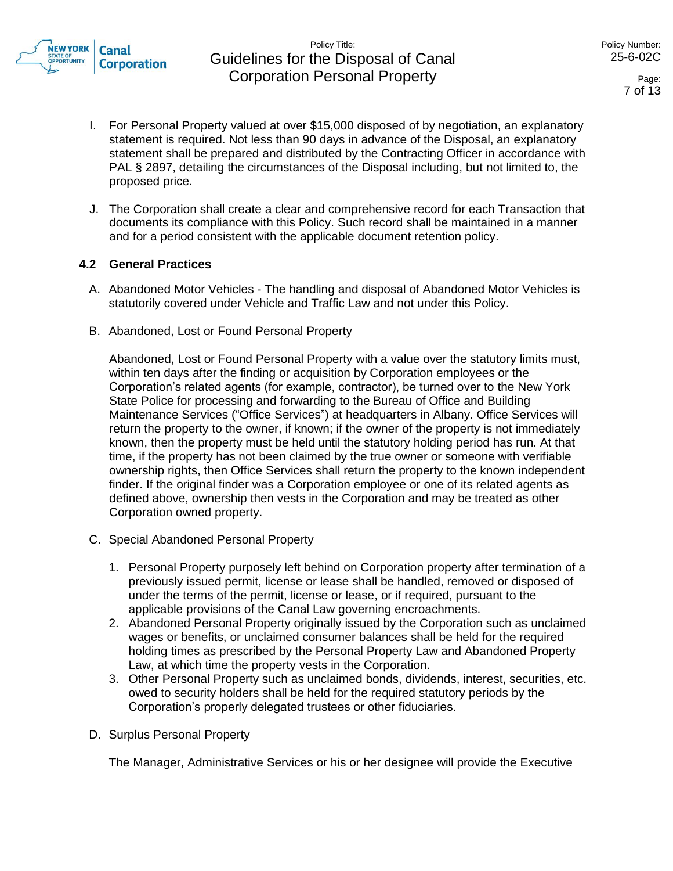

- Page: 7 of 13
- I. For Personal Property valued at over \$15,000 disposed of by negotiation, an explanatory statement is required. Not less than 90 days in advance of the Disposal, an explanatory statement shall be prepared and distributed by the Contracting Officer in accordance with PAL § 2897, detailing the circumstances of the Disposal including, but not limited to, the proposed price.
- J. The Corporation shall create a clear and comprehensive record for each Transaction that documents its compliance with this Policy. Such record shall be maintained in a manner and for a period consistent with the applicable document retention policy.

#### **4.2 General Practices**

- A. Abandoned Motor Vehicles The handling and disposal of Abandoned Motor Vehicles is statutorily covered under Vehicle and Traffic Law and not under this Policy.
- B. Abandoned, Lost or Found Personal Property

Abandoned, Lost or Found Personal Property with a value over the statutory limits must, within ten days after the finding or acquisition by Corporation employees or the Corporation's related agents (for example, contractor), be turned over to the New York State Police for processing and forwarding to the Bureau of Office and Building Maintenance Services ("Office Services") at headquarters in Albany. Office Services will return the property to the owner, if known; if the owner of the property is not immediately known, then the property must be held until the statutory holding period has run. At that time, if the property has not been claimed by the true owner or someone with verifiable ownership rights, then Office Services shall return the property to the known independent finder. If the original finder was a Corporation employee or one of its related agents as defined above, ownership then vests in the Corporation and may be treated as other Corporation owned property.

- C. Special Abandoned Personal Property
	- 1. Personal Property purposely left behind on Corporation property after termination of a previously issued permit, license or lease shall be handled, removed or disposed of under the terms of the permit, license or lease, or if required, pursuant to the applicable provisions of the Canal Law governing encroachments.
	- 2. Abandoned Personal Property originally issued by the Corporation such as unclaimed wages or benefits, or unclaimed consumer balances shall be held for the required holding times as prescribed by the Personal Property Law and Abandoned Property Law, at which time the property vests in the Corporation.
	- 3. Other Personal Property such as unclaimed bonds, dividends, interest, securities, etc. owed to security holders shall be held for the required statutory periods by the Corporation's properly delegated trustees or other fiduciaries.
- D. Surplus Personal Property

The Manager, Administrative Services or his or her designee will provide the Executive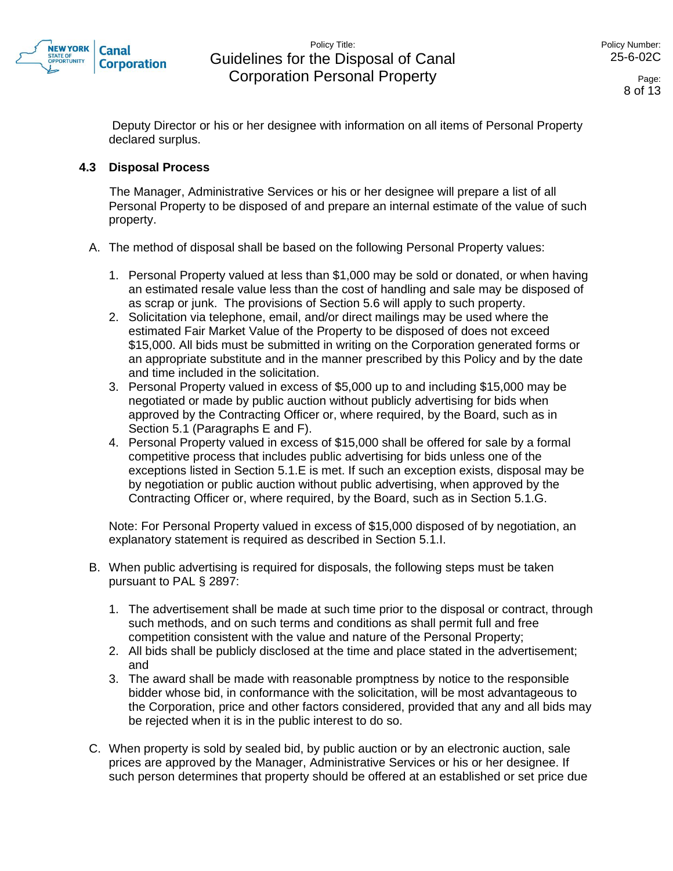

Page: 8 of 13

Deputy Director or his or her designee with information on all items of Personal Property declared surplus.

# **4.3 Disposal Process**

 The Manager, Administrative Services or his or her designee will prepare a list of all Personal Property to be disposed of and prepare an internal estimate of the value of such property.

- A. The method of disposal shall be based on the following Personal Property values:
	- 1. Personal Property valued at less than \$1,000 may be sold or donated, or when having an estimated resale value less than the cost of handling and sale may be disposed of as scrap or junk. The provisions of Section 5.6 will apply to such property.
	- 2. Solicitation via telephone, email, and/or direct mailings may be used where the estimated Fair Market Value of the Property to be disposed of does not exceed \$15,000. All bids must be submitted in writing on the Corporation generated forms or an appropriate substitute and in the manner prescribed by this Policy and by the date and time included in the solicitation.
	- 3. Personal Property valued in excess of \$5,000 up to and including \$15,000 may be negotiated or made by public auction without publicly advertising for bids when approved by the Contracting Officer or, where required, by the Board, such as in Section 5.1 (Paragraphs E and F).
	- 4. Personal Property valued in excess of \$15,000 shall be offered for sale by a formal competitive process that includes public advertising for bids unless one of the exceptions listed in Section 5.1.E is met. If such an exception exists, disposal may be by negotiation or public auction without public advertising, when approved by the Contracting Officer or, where required, by the Board, such as in Section 5.1.G.

Note: For Personal Property valued in excess of \$15,000 disposed of by negotiation, an explanatory statement is required as described in Section 5.1.I.

- B. When public advertising is required for disposals, the following steps must be taken pursuant to PAL § 2897:
	- 1. The advertisement shall be made at such time prior to the disposal or contract, through such methods, and on such terms and conditions as shall permit full and free competition consistent with the value and nature of the Personal Property;
	- 2. All bids shall be publicly disclosed at the time and place stated in the advertisement; and
	- 3. The award shall be made with reasonable promptness by notice to the responsible bidder whose bid, in conformance with the solicitation, will be most advantageous to the Corporation, price and other factors considered, provided that any and all bids may be rejected when it is in the public interest to do so.
- C. When property is sold by sealed bid, by public auction or by an electronic auction, sale prices are approved by the Manager, Administrative Services or his or her designee. If such person determines that property should be offered at an established or set price due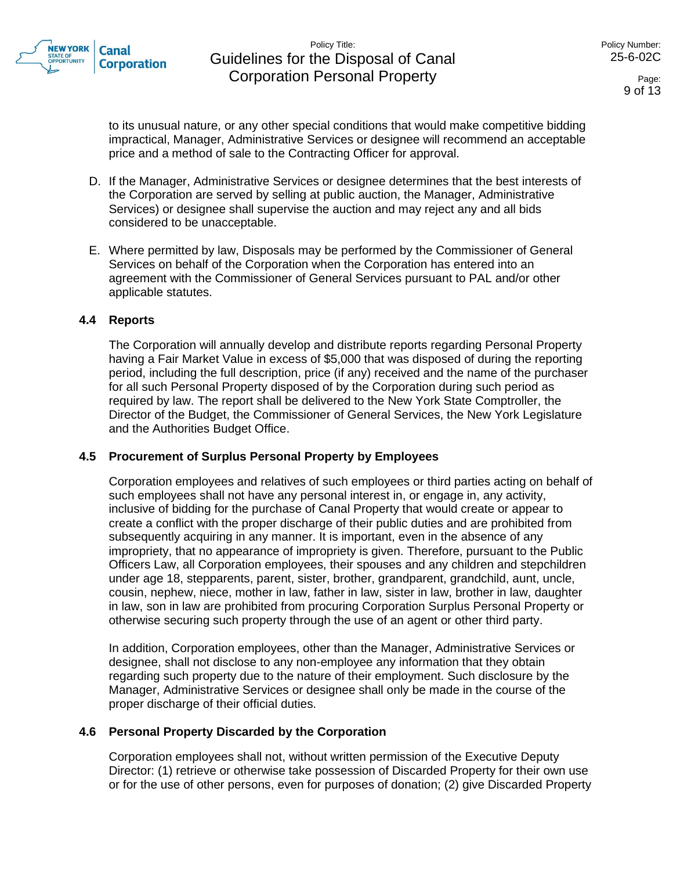

Page: 9 of 13

to its unusual nature, or any other special conditions that would make competitive bidding impractical, Manager, Administrative Services or designee will recommend an acceptable price and a method of sale to the Contracting Officer for approval.

- D. If the Manager, Administrative Services or designee determines that the best interests of the Corporation are served by selling at public auction, the Manager, Administrative Services) or designee shall supervise the auction and may reject any and all bids considered to be unacceptable.
- E. Where permitted by law, Disposals may be performed by the Commissioner of General Services on behalf of the Corporation when the Corporation has entered into an agreement with the Commissioner of General Services pursuant to PAL and/or other applicable statutes.

## **4.4 Reports**

The Corporation will annually develop and distribute reports regarding Personal Property having a Fair Market Value in excess of \$5,000 that was disposed of during the reporting period, including the full description, price (if any) received and the name of the purchaser for all such Personal Property disposed of by the Corporation during such period as required by law. The report shall be delivered to the New York State Comptroller, the Director of the Budget, the Commissioner of General Services, the New York Legislature and the Authorities Budget Office.

## **4.5 Procurement of Surplus Personal Property by Employees**

Corporation employees and relatives of such employees or third parties acting on behalf of such employees shall not have any personal interest in, or engage in, any activity, inclusive of bidding for the purchase of Canal Property that would create or appear to create a conflict with the proper discharge of their public duties and are prohibited from subsequently acquiring in any manner. It is important, even in the absence of any impropriety, that no appearance of impropriety is given. Therefore, pursuant to the Public Officers Law, all Corporation employees, their spouses and any children and stepchildren under age 18, stepparents, parent, sister, brother, grandparent, grandchild, aunt, uncle, cousin, nephew, niece, mother in law, father in law, sister in law, brother in law, daughter in law, son in law are prohibited from procuring Corporation Surplus Personal Property or otherwise securing such property through the use of an agent or other third party.

In addition, Corporation employees, other than the Manager, Administrative Services or designee, shall not disclose to any non-employee any information that they obtain regarding such property due to the nature of their employment. Such disclosure by the Manager, Administrative Services or designee shall only be made in the course of the proper discharge of their official duties.

## **4.6 Personal Property Discarded by the Corporation**

Corporation employees shall not, without written permission of the Executive Deputy Director: (1) retrieve or otherwise take possession of Discarded Property for their own use or for the use of other persons, even for purposes of donation; (2) give Discarded Property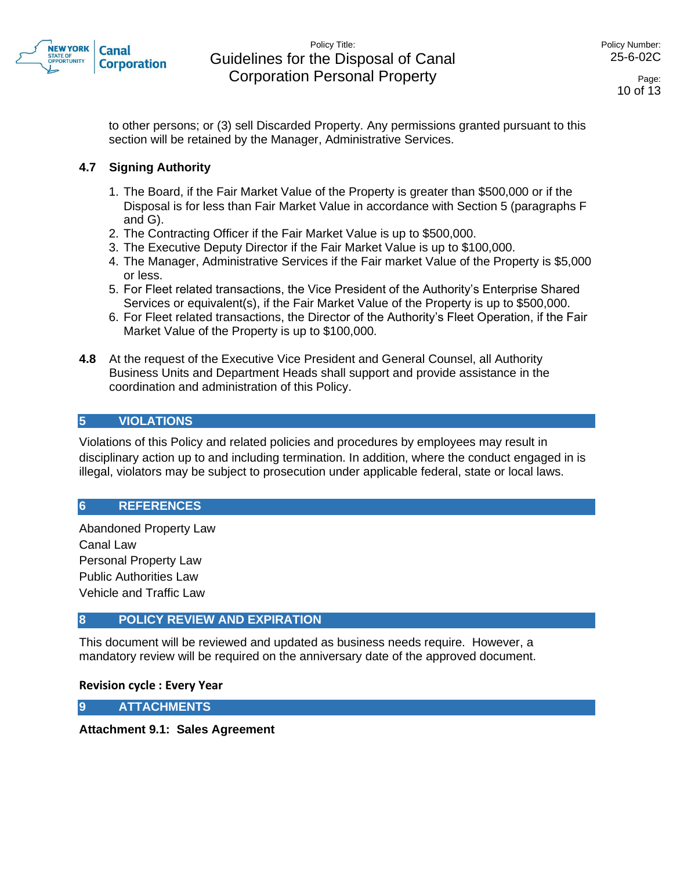

Page: 10 of 13

to other persons; or (3) sell Discarded Property. Any permissions granted pursuant to this section will be retained by the Manager, Administrative Services.

# **4.7 Signing Authority**

- 1. The Board, if the Fair Market Value of the Property is greater than \$500,000 or if the Disposal is for less than Fair Market Value in accordance with Section 5 (paragraphs F and G).
- 2. The Contracting Officer if the Fair Market Value is up to \$500,000.
- 3. The Executive Deputy Director if the Fair Market Value is up to \$100,000.
- 4. The Manager, Administrative Services if the Fair market Value of the Property is \$5,000 or less.
- 5. For Fleet related transactions, the Vice President of the Authority's Enterprise Shared Services or equivalent(s), if the Fair Market Value of the Property is up to \$500,000.
- 6. For Fleet related transactions, the Director of the Authority's Fleet Operation, if the Fair Market Value of the Property is up to \$100,000.
- **4.8** At the request of the Executive Vice President and General Counsel, all Authority Business Units and Department Heads shall support and provide assistance in the coordination and administration of this Policy.

#### **5 VIOLATIONS**

Violations of this Policy and related policies and procedures by employees may result in disciplinary action up to and including termination. In addition, where the conduct engaged in is illegal, violators may be subject to prosecution under applicable federal, state or local laws.

#### **6 REFERENCES**

Abandoned Property Law Canal Law Personal Property Law Public Authorities Law Vehicle and Traffic Law

## **8 POLICY REVIEW AND EXPIRATION**

This document will be reviewed and updated as business needs require. However, a mandatory review will be required on the anniversary date of the approved document.

#### **Revision cycle : Every Year**

**9 ATTACHMENTS**

#### **Attachment 9.1: Sales Agreement**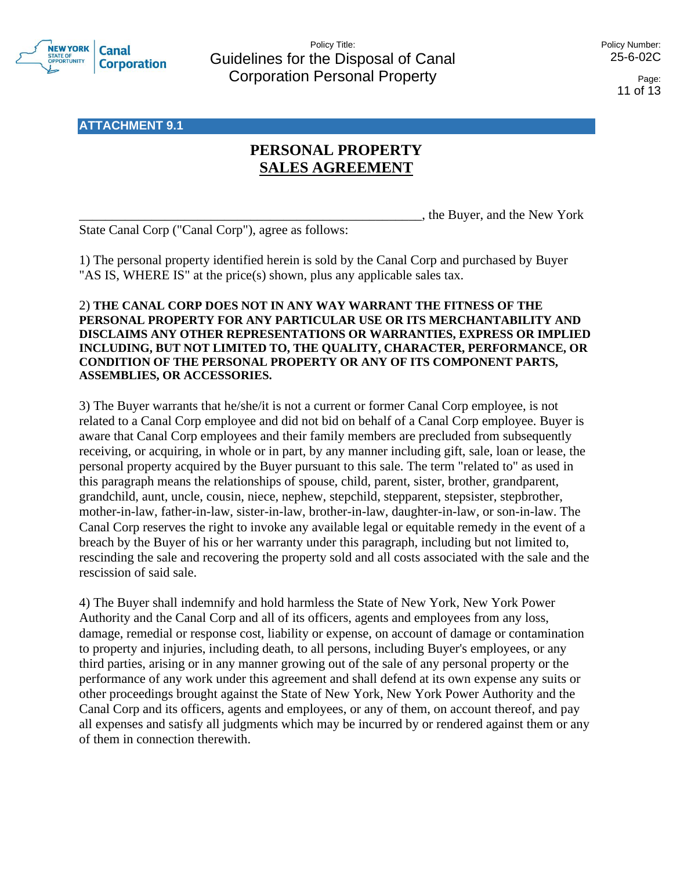

Policy Number: 25-6-02C

> Page: 11 of 13

**ATTACHMENT 9.1**

# **PERSONAL PROPERTY SALES AGREEMENT**

the Buyer, and the New York

State Canal Corp ("Canal Corp"), agree as follows:

1) The personal property identified herein is sold by the Canal Corp and purchased by Buyer "AS IS, WHERE IS" at the price(s) shown, plus any applicable sales tax.

#### 2) **THE CANAL CORP DOES NOT IN ANY WAY WARRANT THE FITNESS OF THE PERSONAL PROPERTY FOR ANY PARTICULAR USE OR ITS MERCHANTABILITY AND DISCLAIMS ANY OTHER REPRESENTATIONS OR WARRANTIES, EXPRESS OR IMPLIED INCLUDING, BUT NOT LIMITED TO, THE QUALITY, CHARACTER, PERFORMANCE, OR CONDITION OF THE PERSONAL PROPERTY OR ANY OF ITS COMPONENT PARTS, ASSEMBLIES, OR ACCESSORIES.**

3) The Buyer warrants that he/she/it is not a current or former Canal Corp employee, is not related to a Canal Corp employee and did not bid on behalf of a Canal Corp employee. Buyer is aware that Canal Corp employees and their family members are precluded from subsequently receiving, or acquiring, in whole or in part, by any manner including gift, sale, loan or lease, the personal property acquired by the Buyer pursuant to this sale. The term "related to" as used in this paragraph means the relationships of spouse, child, parent, sister, brother, grandparent, grandchild, aunt, uncle, cousin, niece, nephew, stepchild, stepparent, stepsister, stepbrother, mother-in-law, father-in-law, sister-in-law, brother-in-law, daughter-in-law, or son-in-law. The Canal Corp reserves the right to invoke any available legal or equitable remedy in the event of a breach by the Buyer of his or her warranty under this paragraph, including but not limited to, rescinding the sale and recovering the property sold and all costs associated with the sale and the rescission of said sale.

4) The Buyer shall indemnify and hold harmless the State of New York, New York Power Authority and the Canal Corp and all of its officers, agents and employees from any loss, damage, remedial or response cost, liability or expense, on account of damage or contamination to property and injuries, including death, to all persons, including Buyer's employees, or any third parties, arising or in any manner growing out of the sale of any personal property or the performance of any work under this agreement and shall defend at its own expense any suits or other proceedings brought against the State of New York, New York Power Authority and the Canal Corp and its officers, agents and employees, or any of them, on account thereof, and pay all expenses and satisfy all judgments which may be incurred by or rendered against them or any of them in connection therewith.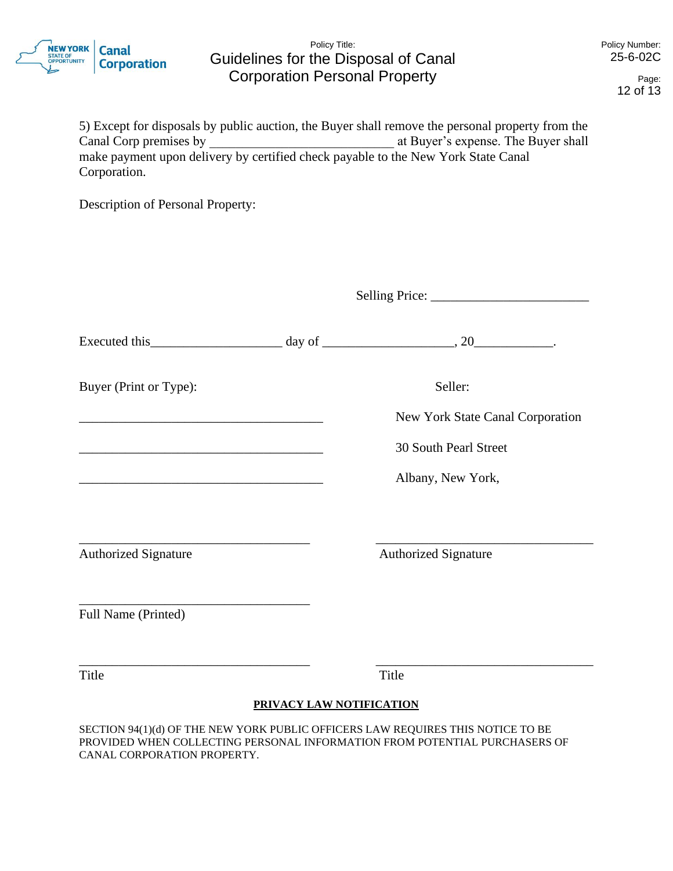

Policy Number: 25-6-02C Page:

12 of 13

5) Except for disposals by public auction, the Buyer shall remove the personal property from the Canal Corp premises by \_\_\_\_\_\_\_\_\_\_\_\_\_\_\_\_\_\_\_\_\_\_\_\_\_\_\_\_ at Buyer's expense. The Buyer shall make payment upon delivery by certified check payable to the New York State Canal Corporation.

Description of Personal Property:

Selling Price: \_\_\_\_\_\_\_\_\_\_\_\_\_\_\_\_\_\_\_\_\_\_\_\_ Executed this day of the control of the control of the control of the control of the control of the control of the control of the control of the control of the control of the control of the control of the control of the co Buyer (Print or Type): Seller: \_\_\_\_\_\_\_\_\_\_\_\_\_\_\_\_\_\_\_\_\_\_\_\_\_\_\_\_\_\_\_\_\_\_\_\_\_ New York State Canal Corporation \_\_\_\_\_\_\_\_\_\_\_\_\_\_\_\_\_\_\_\_\_\_\_\_\_\_\_\_\_\_\_\_\_\_\_\_\_ 30 South Pearl Street Albany, New York, \_\_\_\_\_\_\_\_\_\_\_\_\_\_\_\_\_\_\_\_\_\_\_\_\_\_\_\_\_\_\_\_\_\_\_ \_\_\_\_\_\_\_\_\_\_\_\_\_\_\_\_\_\_\_\_\_\_\_\_\_\_\_\_\_\_\_\_\_ Authorized Signature **Authorized Signature** Authorized Signature \_\_\_\_\_\_\_\_\_\_\_\_\_\_\_\_\_\_\_\_\_\_\_\_\_\_\_\_\_\_\_\_\_\_\_ Full Name (Printed) \_\_\_\_\_\_\_\_\_\_\_\_\_\_\_\_\_\_\_\_\_\_\_\_\_\_\_\_\_\_\_\_\_\_\_ \_\_\_\_\_\_\_\_\_\_\_\_\_\_\_\_\_\_\_\_\_\_\_\_\_\_\_\_\_\_\_\_\_ Title Title

## **PRIVACY LAW NOTIFICATION**

SECTION 94(1)(d) OF THE NEW YORK PUBLIC OFFICERS LAW REQUIRES THIS NOTICE TO BE PROVIDED WHEN COLLECTING PERSONAL INFORMATION FROM POTENTIAL PURCHASERS OF CANAL CORPORATION PROPERTY.